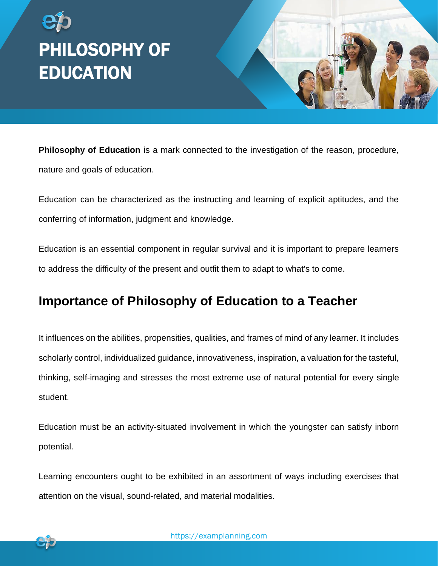



**Philosophy of Education** is a mark connected to the investigation of the reason, procedure, nature and goals of education.

Education can be characterized as the instructing and learning of explicit aptitudes, and the conferring of information, judgment and knowledge.

Education is an essential component in regular survival and it is important to prepare learners to address the difficulty of the present and outfit them to adapt to what's to come.

## **Importance of Philosophy of Education to a Teacher**

It influences on the abilities, propensities, qualities, and frames of mind of any learner. It includes scholarly control, individualized guidance, innovativeness, inspiration, a valuation for the tasteful, thinking, self-imaging and stresses the most extreme use of natural potential for every single student.

Education must be an activity-situated involvement in which the youngster can satisfy inborn potential.

Learning encounters ought to be exhibited in an assortment of ways including exercises that attention on the visual, sound-related, and material modalities.

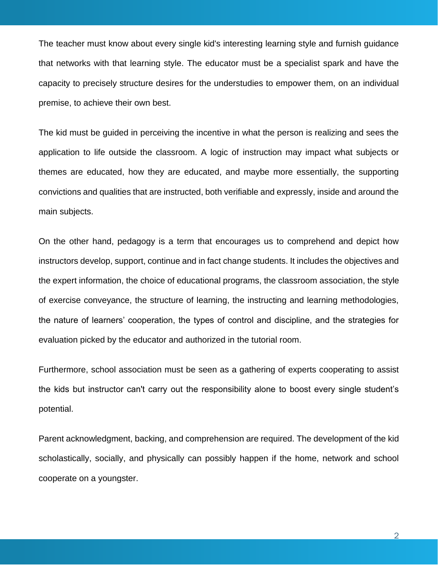The teacher must know about every single kid's interesting learning style and furnish guidance that networks with that learning style. The educator must be a specialist spark and have the capacity to precisely structure desires for the understudies to empower them, on an individual premise, to achieve their own best.

The kid must be guided in perceiving the incentive in what the person is realizing and sees the application to life outside the classroom. A logic of instruction may impact what subjects or themes are educated, how they are educated, and maybe more essentially, the supporting convictions and qualities that are instructed, both verifiable and expressly, inside and around the main subjects.

On the other hand, pedagogy is a term that encourages us to comprehend and depict how instructors develop, support, continue and in fact change students. It includes the objectives and the expert information, the choice of educational programs, the classroom association, the style of exercise conveyance, the structure of learning, the instructing and learning methodologies, the nature of learners' cooperation, the types of control and discipline, and the strategies for evaluation picked by the educator and authorized in the tutorial room.

Furthermore, school association must be seen as a gathering of experts cooperating to assist the kids but instructor can't carry out the responsibility alone to boost every single student's potential.

Parent acknowledgment, backing, and comprehension are required. The development of the kid scholastically, socially, and physically can possibly happen if the home, network and school cooperate on a youngster.

2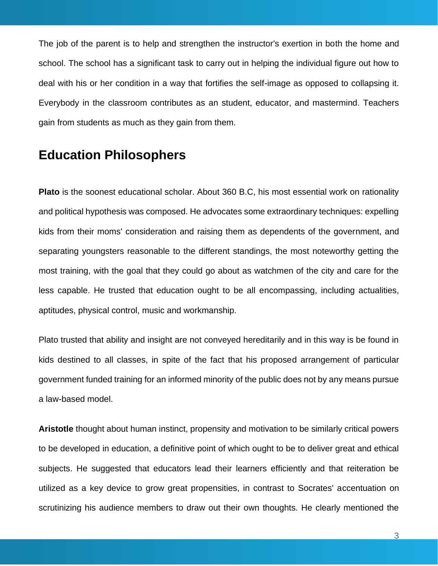The job of the parent is to help and strengthen the instructor's exertion in both the home and school. The school has a significant task to carry out in helping the individual figure out how to deal with his or her condition in a way that fortifies the self-image as opposed to collapsing it. Everybody in the classroom contributes as an student, educator, and mastermind. Teachers gain from students as much as they gain from them.

## **Education Philosophers**

**Plato** is the soonest educational scholar. About 360 B.C, his most essential work on rationality and political hypothesis was composed. He advocates some extraordinary techniques: expelling kids from their moms' consideration and raising them as dependents of the government, and separating youngsters reasonable to the different standings, the most noteworthy getting the most training, with the goal that they could go about as watchmen of the city and care for the less capable. He trusted that education ought to be all encompassing, including actualities, aptitudes, physical control, music and workmanship.

Plato trusted that ability and insight are not conveyed hereditarily and in this way is be found in kids destined to all classes, in spite of the fact that his proposed arrangement of particular government funded training for an informed minority of the public does not by any means pursue a law-based model.

**Aristotle** thought about human instinct, propensity and motivation to be similarly critical powers to be developed in education, a definitive point of which ought to be to deliver great and ethical subjects. He suggested that educators lead their learners efficiently and that reiteration be utilized as a key device to grow great propensities, in contrast to Socrates' accentuation on scrutinizing his audience members to draw out their own thoughts. He clearly mentioned the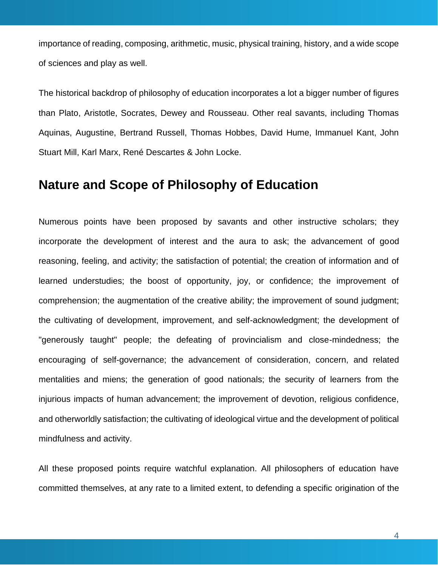importance of reading, composing, arithmetic, music, physical training, history, and a wide scope of sciences and play as well.

The historical backdrop of philosophy of education incorporates a lot a bigger number of figures than Plato, Aristotle, Socrates, Dewey and Rousseau. Other real savants, including Thomas Aquinas, Augustine, Bertrand Russell, Thomas Hobbes, David Hume, Immanuel Kant, John Stuart Mill, Karl Marx, René Descartes & John Locke.

## **Nature and Scope of Philosophy of Education**

Numerous points have been proposed by savants and other instructive scholars; they incorporate the development of interest and the aura to ask; the advancement of good reasoning, feeling, and activity; the satisfaction of potential; the creation of information and of learned understudies; the boost of opportunity, joy, or confidence; the improvement of comprehension; the augmentation of the creative ability; the improvement of sound judgment; the cultivating of development, improvement, and self-acknowledgment; the development of "generously taught" people; the defeating of provincialism and close-mindedness; the encouraging of self-governance; the advancement of consideration, concern, and related mentalities and miens; the generation of good nationals; the security of learners from the injurious impacts of human advancement; the improvement of devotion, religious confidence, and otherworldly satisfaction; the cultivating of ideological virtue and the development of political mindfulness and activity.

All these proposed points require watchful explanation. All philosophers of education have committed themselves, at any rate to a limited extent, to defending a specific origination of the

4